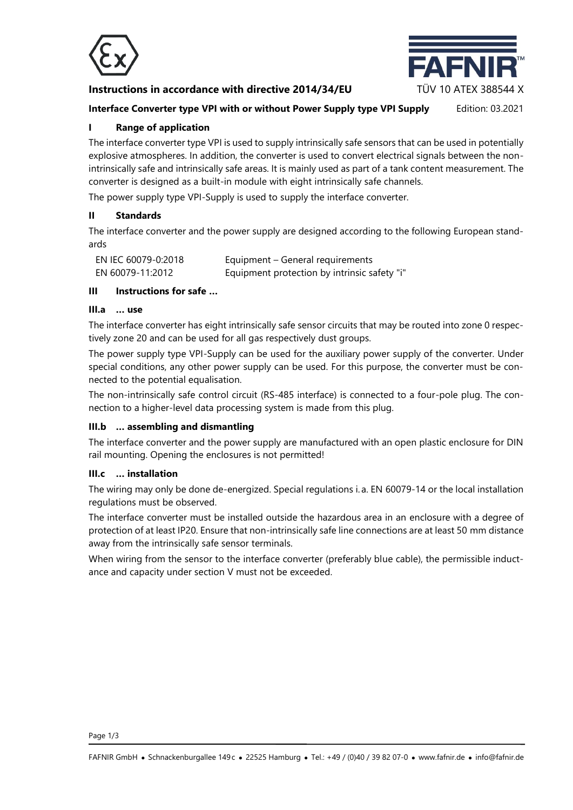

# **Instructions in accordance with directive 2014/34/EU** TÜV 10 ATEX 388544 X



# **Interface Converter type VPI with or without Power Supply type VPI Supply** Edition: 03.2021

# **I Range of application**

The interface converter type VPI is used to supply intrinsically safe sensors that can be used in potentially explosive atmospheres. In addition, the converter is used to convert electrical signals between the nonintrinsically safe and intrinsically safe areas. It is mainly used as part of a tank content measurement. The converter is designed as a built-in module with eight intrinsically safe channels.

The power supply type VPI-Supply is used to supply the interface converter.

#### **II Standards**

The interface converter and the power supply are designed according to the following European standards

| EN IEC 60079-0:2018 | Equipment – General requirements             |
|---------------------|----------------------------------------------|
| EN 60079-11:2012    | Equipment protection by intrinsic safety "i" |

# **III Instructions for safe …**

#### **III.a … use**

The interface converter has eight intrinsically safe sensor circuits that may be routed into zone 0 respectively zone 20 and can be used for all gas respectively dust groups.

The power supply type VPI-Supply can be used for the auxiliary power supply of the converter. Under special conditions, any other power supply can be used. For this purpose, the converter must be connected to the potential equalisation.

The non-intrinsically safe control circuit (RS-485 interface) is connected to a four-pole plug. The connection to a higher-level data processing system is made from this plug.

#### **III.b … assembling and dismantling**

The interface converter and the power supply are manufactured with an open plastic enclosure for DIN rail mounting. Opening the enclosures is not permitted!

#### **III.c … installation**

The wiring may only be done de-energized. Special regulations i. a. EN 60079-14 or the local installation regulations must be observed.

The interface converter must be installed outside the hazardous area in an enclosure with a degree of protection of at least IP20. Ensure that non-intrinsically safe line connections are at least 50 mm distance away from the intrinsically safe sensor terminals.

When wiring from the sensor to the interface converter (preferably blue cable), the permissible inductance and capacity under section V must not be exceeded.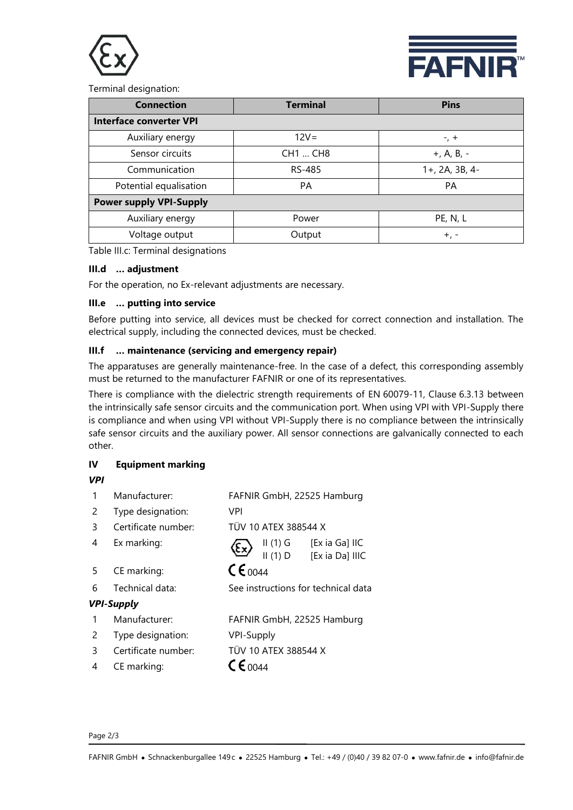



Terminal designation:

| <b>Connection</b>              | <b>Terminal</b> | <b>Pins</b>    |  |  |  |  |
|--------------------------------|-----------------|----------------|--|--|--|--|
| <b>Interface converter VPI</b> |                 |                |  |  |  |  |
| Auxiliary energy               | $12V =$         | $-7 +$         |  |  |  |  |
| Sensor circuits                | CH1  CH8        | $+, A, B, -$   |  |  |  |  |
| Communication                  | RS-485          | 1+, 2A, 3B, 4- |  |  |  |  |
| Potential equalisation         | <b>PA</b>       | PA             |  |  |  |  |
| <b>Power supply VPI-Supply</b> |                 |                |  |  |  |  |
| Auxiliary energy               | Power           | PE, N, L       |  |  |  |  |
| Voltage output                 | Output          | $+$ , $-$      |  |  |  |  |

Table III.c: Terminal designations

# **III.d … adjustment**

For the operation, no Ex-relevant adjustments are necessary.

#### **III.e … putting into service**

Before putting into service, all devices must be checked for correct connection and installation. The electrical supply, including the connected devices, must be checked.

# **III.f … maintenance (servicing and emergency repair)**

The apparatuses are generally maintenance-free. In the case of a defect, this corresponding assembly must be returned to the manufacturer FAFNIR or one of its representatives.

There is compliance with the dielectric strength requirements of EN 60079-11, Clause 6.3.13 between the intrinsically safe sensor circuits and the communication port. When using VPI with VPI-Supply there is compliance and when using VPI without VPI-Supply there is no compliance between the intrinsically safe sensor circuits and the auxiliary power. All sensor connections are galvanically connected to each other.

# **IV Equipment marking**

#### *VPI*

|   | Manufacturer:       | FAFNIR GmbH, 22525 Hamburg          |  |  |
|---|---------------------|-------------------------------------|--|--|
| 2 | Type designation:   | VPI                                 |  |  |
| 3 | Certificate number: | TÜV 10 ATEX 388544 X                |  |  |
| 4 | Ex marking:         | [Ex ia Ga] IIC<br>$II(1)$ G<br>ξ×,  |  |  |
|   |                     | II(1)D<br>[Ex ia Da] IIIC           |  |  |
| 5 | CE marking:         | $\mathsf{C}\epsilon_{0044}$         |  |  |
| 6 | Technical data:     | See instructions for technical data |  |  |
|   | <b>VPI-Supply</b>   |                                     |  |  |
|   | Manufacturer:       | FAFNIR GmbH, 22525 Hamburg          |  |  |
| 2 | Type designation:   | <b>VPI-Supply</b>                   |  |  |
| ξ | Certificate number: | TÜV 10 ATEX 388544 X                |  |  |
| 4 | CE marking:         | $C \epsilon_{0044}$                 |  |  |

#### Page 2/3